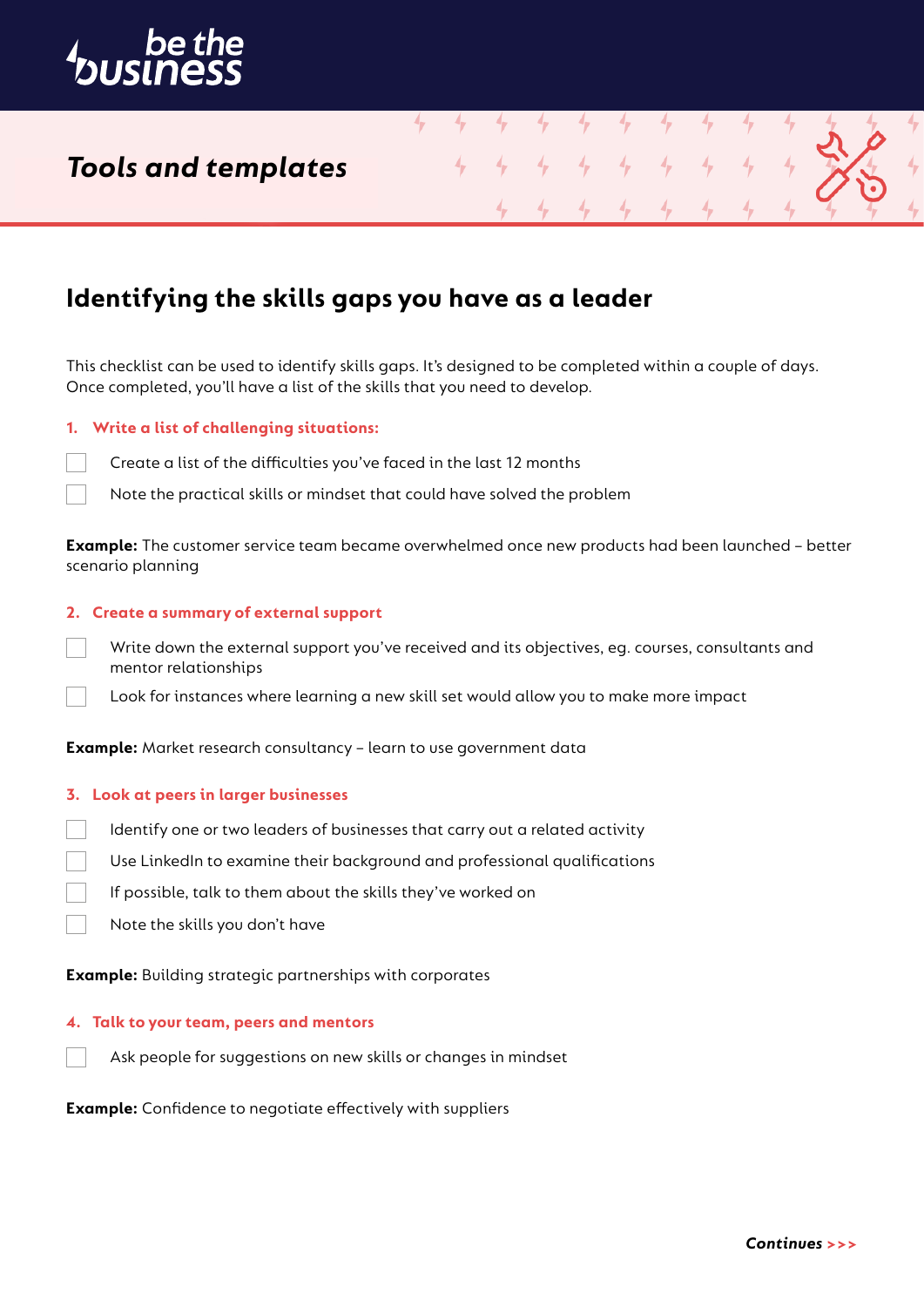

## *Tools and templates*

## **Identifying the skills gaps you have as a leader**

This checklist can be used to identify skills gaps. It's designed to be completed within a couple of days. Once completed, you'll have a list of the skills that you need to develop.

4

#### **1. Write a list of challenging situations:**

Create a list of the difficulties you've faced in the last 12 months

Note the practical skills or mindset that could have solved the problem

**Example:** The customer service team became overwhelmed once new products had been launched – better scenario planning

#### **2. Create a summary of external support**

- Write down the external support you've received and its objectives, eg. courses, consultants and mentor relationships
- Look for instances where learning a new skill set would allow you to make more impact

**Example:** Market research consultancy – learn to use government data

#### **3. Look at peers in larger businesses**

- Identify one or two leaders of businesses that carry out a related activity
	- Use LinkedIn to examine their background and professional qualifications
- If possible, talk to them about the skills they've worked on
- Note the skills you don't have

**Example:** Building strategic partnerships with corporates

- **4. Talk to your team, peers and mentors**
	- Ask people for suggestions on new skills or changes in mindset

**Example:** Confidence to negotiate effectively with suppliers